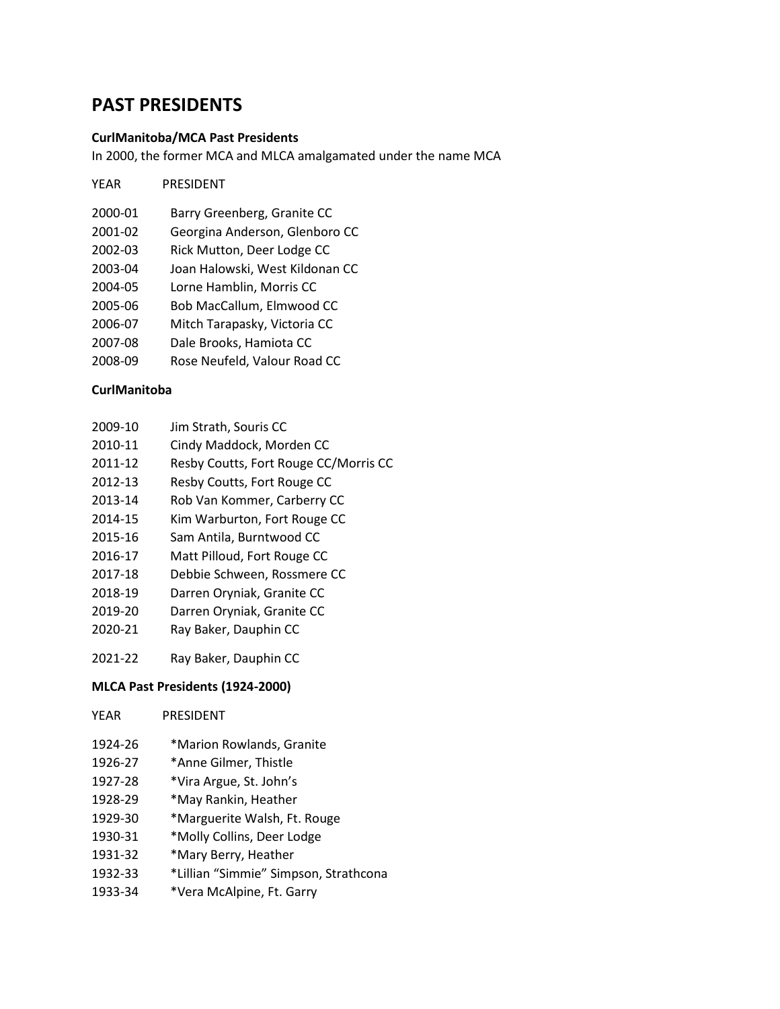# **PAST PRESIDENTS**

#### **CurlManitoba/MCA Past Presidents**

In 2000, the former MCA and MLCA amalgamated under the name MCA

- 2000-01 Barry Greenberg, Granite CC
- 2001-02 Georgina Anderson, Glenboro CC
- 2002-03 Rick Mutton, Deer Lodge CC
- 2003-04 Joan Halowski, West Kildonan CC
- 2004-05 Lorne Hamblin, Morris CC
- 2005-06 Bob MacCallum, Elmwood CC
- 2006-07 Mitch Tarapasky, Victoria CC
- 2007-08 Dale Brooks, Hamiota CC
- 2008-09 Rose Neufeld, Valour Road CC

#### **CurlManitoba**

- 2009-10 Jim Strath, Souris CC
- 2010-11 Cindy Maddock, Morden CC
- 2011-12 Resby Coutts, Fort Rouge CC/Morris CC
- 2012-13 Resby Coutts, Fort Rouge CC
- 2013-14 Rob Van Kommer, Carberry CC
- 2014-15 Kim Warburton, Fort Rouge CC
- 2015-16 Sam Antila, Burntwood CC
- 2016-17 Matt Pilloud, Fort Rouge CC
- 2017-18 Debbie Schween, Rossmere CC
- 2018-19 Darren Oryniak, Granite CC
- 2019-20 Darren Oryniak, Granite CC
- 2020-21 Ray Baker, Dauphin CC
- 2021-22 Ray Baker, Dauphin CC

#### **MLCA Past Presidents (1924-2000)**

| YEAR    | <b>PRESIDENT</b>             |
|---------|------------------------------|
| 1924-26 | *Marion Rowlands, Granite    |
| 1926-27 | *Anne Gilmer, Thistle        |
| 1927-28 | *Vira Argue, St. John's      |
| 1928-29 | *May Rankin, Heather         |
| 1929-30 | *Marguerite Walsh, Ft. Rouge |
| 1930-31 | *Molly Collins, Deer Lodge   |
|         |                              |

- 1931-32 \*Mary Berry, Heather
- 1932-33 \*Lillian "Simmie" Simpson, Strathcona
- 1933-34 \*Vera McAlpine, Ft. Garry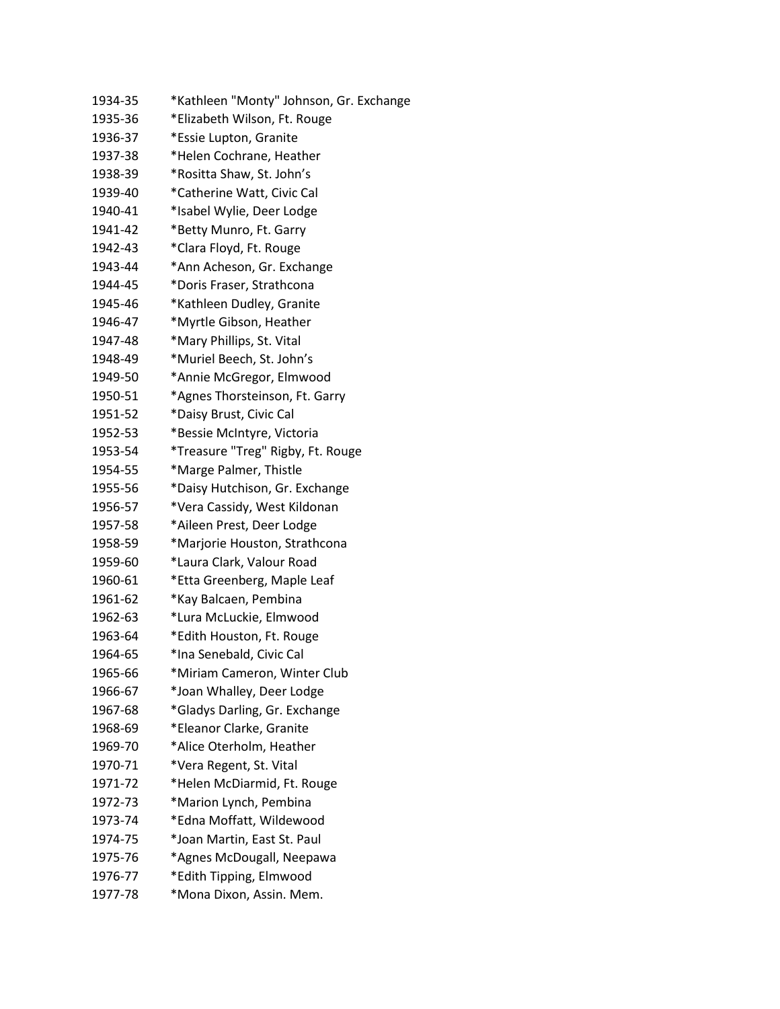| 1934-35 | *Kathleen "Monty" Johnson, Gr. Exchange |
|---------|-----------------------------------------|
| 1935-36 | *Elizabeth Wilson, Ft. Rouge            |
| 1936-37 | *Essie Lupton, Granite                  |
| 1937-38 | *Helen Cochrane, Heather                |
| 1938-39 | *Rositta Shaw, St. John's               |
| 1939-40 | *Catherine Watt, Civic Cal              |
| 1940-41 | *Isabel Wylie, Deer Lodge               |
| 1941-42 | *Betty Munro, Ft. Garry                 |
| 1942-43 | *Clara Floyd, Ft. Rouge                 |
| 1943-44 | *Ann Acheson, Gr. Exchange              |
| 1944-45 | *Doris Fraser, Strathcona               |
| 1945-46 | *Kathleen Dudley, Granite               |
| 1946-47 | *Myrtle Gibson, Heather                 |
| 1947-48 | *Mary Phillips, St. Vital               |
| 1948-49 | *Muriel Beech, St. John's               |
| 1949-50 | *Annie McGregor, Elmwood                |
| 1950-51 | *Agnes Thorsteinson, Ft. Garry          |
| 1951-52 | *Daisy Brust, Civic Cal                 |
| 1952-53 | *Bessie McIntyre, Victoria              |
| 1953-54 | *Treasure "Treg" Rigby, Ft. Rouge       |
| 1954-55 | *Marge Palmer, Thistle                  |
| 1955-56 | *Daisy Hutchison, Gr. Exchange          |
| 1956-57 | *Vera Cassidy, West Kildonan            |
| 1957-58 | *Aileen Prest, Deer Lodge               |
| 1958-59 | *Marjorie Houston, Strathcona           |
| 1959-60 | *Laura Clark, Valour Road               |
| 1960-61 | *Etta Greenberg, Maple Leaf             |
| 1961-62 | *Kay Balcaen, Pembina                   |
| 1962-63 | *Lura McLuckie, Elmwood                 |
| 1963-64 | *Edith Houston, Ft. Rouge               |
| 1964-65 | *Ina Senebald, Civic Cal                |
| 1965-66 | *Miriam Cameron, Winter Club            |
| 1966-67 | *Joan Whalley, Deer Lodge               |
| 1967-68 | *Gladys Darling, Gr. Exchange           |
| 1968-69 | *Eleanor Clarke, Granite                |
| 1969-70 | *Alice Oterholm, Heather                |
| 1970-71 | *Vera Regent, St. Vital                 |
| 1971-72 | *Helen McDiarmid, Ft. Rouge             |
| 1972-73 | *Marion Lynch, Pembina                  |
| 1973-74 | *Edna Moffatt, Wildewood                |
| 1974-75 | *Joan Martin, East St. Paul             |
| 1975-76 | *Agnes McDougall, Neepawa               |
| 1976-77 | *Edith Tipping, Elmwood                 |
| 1977-78 | *Mona Dixon, Assin. Mem.                |
|         |                                         |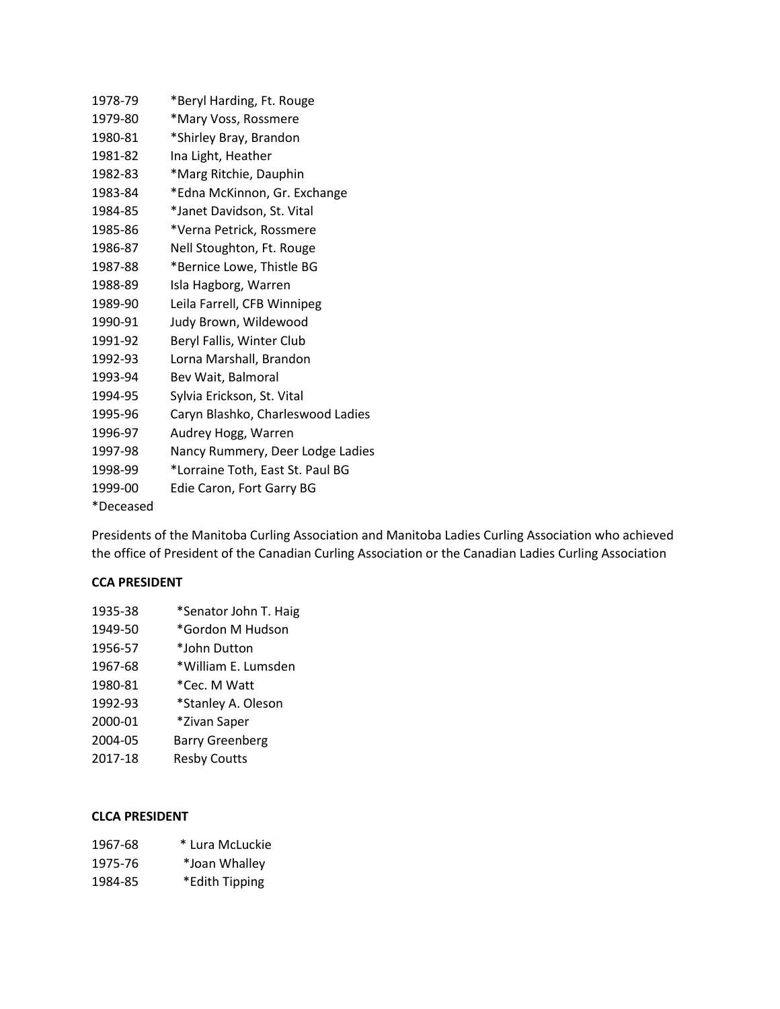| 1978-79   | *Beryl Harding, Ft. Rouge         |
|-----------|-----------------------------------|
| 1979-80   | *Mary Voss, Rossmere              |
| 1980-81   | *Shirley Bray, Brandon            |
| 1981-82   | Ina Light, Heather                |
| 1982-83   | *Marg Ritchie, Dauphin            |
| 1983-84   | *Edna McKinnon, Gr. Exchange      |
| 1984-85   | *Janet Davidson, St. Vital        |
| 1985-86   | *Verna Petrick, Rossmere          |
| 1986-87   | Nell Stoughton, Ft. Rouge         |
| 1987-88   | *Bernice Lowe, Thistle BG         |
| 1988-89   | Isla Hagborg, Warren              |
| 1989-90   | Leila Farrell, CFB Winnipeg       |
| 1990-91   | Judy Brown, Wildewood             |
| 1991-92   | Beryl Fallis, Winter Club         |
| 1992-93   | Lorna Marshall, Brandon           |
| 1993-94   | Bev Wait, Balmoral                |
| 1994-95   | Sylvia Erickson, St. Vital        |
| 1995-96   | Caryn Blashko, Charleswood Ladies |
| 1996-97   | Audrey Hogg, Warren               |
| 1997-98   | Nancy Rummery, Deer Lodge Ladies  |
| 1998-99   | *Lorraine Toth, East St. Paul BG  |
| 1999-00   | Edie Caron, Fort Garry BG         |
| *Deceased |                                   |

Presidents of the Manitoba Curling Association and Manitoba Ladies Curling Association who achieved the office of President of the Canadian Curling Association or the Canadian Ladies Curling Association

#### **CCA PRESIDENT**

| 1935-38 | *Senator John T. Haig  |
|---------|------------------------|
| 1949-50 | *Gordon M Hudson       |
| 1956-57 | *John Dutton           |
| 1967-68 | *William E. Lumsden    |
| 1980-81 | *Cec. M Watt           |
| 1992-93 | *Stanley A. Oleson     |
| 2000-01 | *Zivan Saper           |
| 2004-05 | <b>Barry Greenberg</b> |
| 2017-18 | <b>Resby Coutts</b>    |
|         |                        |

### **CLCA PRESIDENT**

| 1967-68 | * Lura McLuckie |
|---------|-----------------|
| 1975-76 | *Joan Whalley   |

1984-85 \*Edith Tipping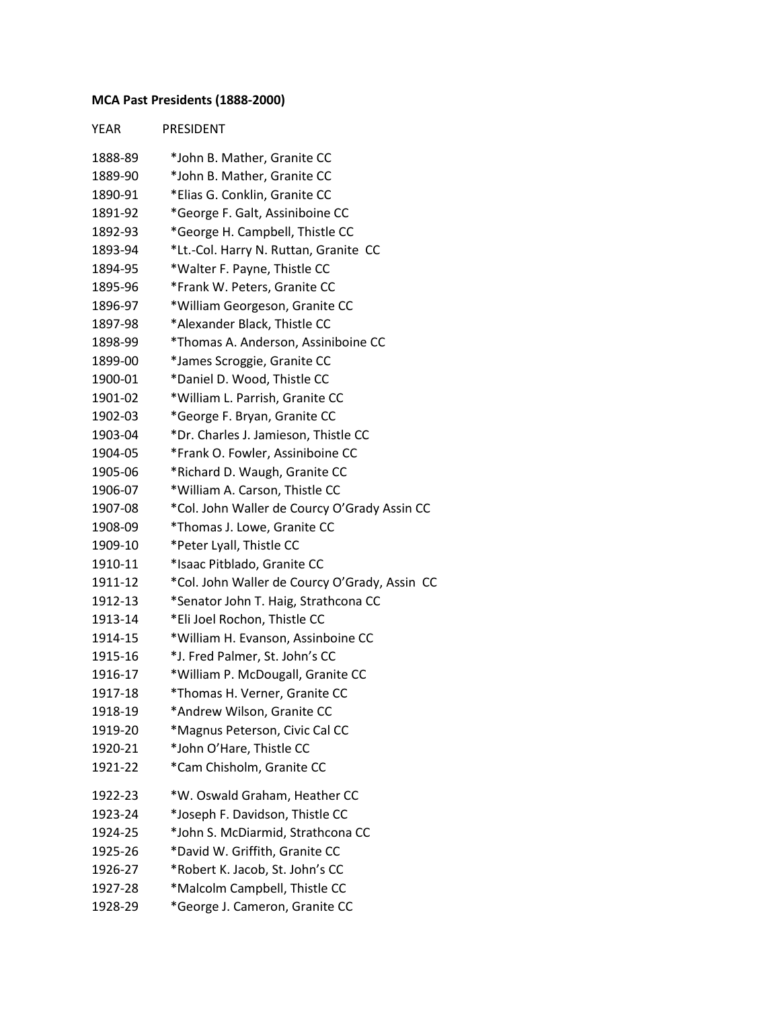## **MCA Past Presidents (1888-2000)**

| <b>YEAR</b> | PRESIDENT                                     |
|-------------|-----------------------------------------------|
| 1888-89     | *John B. Mather, Granite CC                   |
| 1889-90     | *John B. Mather, Granite CC                   |
| 1890-91     | *Elias G. Conklin, Granite CC                 |
| 1891-92     | *George F. Galt, Assiniboine CC               |
| 1892-93     | *George H. Campbell, Thistle CC               |
| 1893-94     | *Lt.-Col. Harry N. Ruttan, Granite CC         |
| 1894-95     | *Walter F. Payne, Thistle CC                  |
| 1895-96     | *Frank W. Peters, Granite CC                  |
| 1896-97     | *William Georgeson, Granite CC                |
| 1897-98     | *Alexander Black, Thistle CC                  |
| 1898-99     | *Thomas A. Anderson, Assiniboine CC           |
| 1899-00     | *James Scroggie, Granite CC                   |
| 1900-01     | *Daniel D. Wood, Thistle CC                   |
| 1901-02     | *William L. Parrish, Granite CC               |
| 1902-03     | *George F. Bryan, Granite CC                  |
| 1903-04     | *Dr. Charles J. Jamieson, Thistle CC          |
| 1904-05     | *Frank O. Fowler, Assiniboine CC              |
| 1905-06     | *Richard D. Waugh, Granite CC                 |
| 1906-07     | *William A. Carson, Thistle CC                |
| 1907-08     | *Col. John Waller de Courcy O'Grady Assin CC  |
| 1908-09     | *Thomas J. Lowe, Granite CC                   |
| 1909-10     | *Peter Lyall, Thistle CC                      |
| 1910-11     | *Isaac Pitblado, Granite CC                   |
| 1911-12     | *Col. John Waller de Courcy O'Grady, Assin CC |
| 1912-13     | *Senator John T. Haig, Strathcona CC          |
| 1913-14     | *Eli Joel Rochon, Thistle CC                  |
| 1914-15     | *William H. Evanson, Assinboine CC            |
| 1915-16     | *J. Fred Palmer, St. John's CC                |
| 1916-17     | *William P. McDougall, Granite CC             |
| 1917-18     | *Thomas H. Verner, Granite CC                 |
| 1918-19     | *Andrew Wilson, Granite CC                    |
| 1919-20     | *Magnus Peterson, Civic Cal CC                |
| 1920-21     | *John O'Hare, Thistle CC                      |
| 1921-22     | *Cam Chisholm, Granite CC                     |
| 1922-23     | *W. Oswald Graham, Heather CC                 |
| 1923-24     | *Joseph F. Davidson, Thistle CC               |
| 1924-25     | *John S. McDiarmid, Strathcona CC             |
| 1925-26     | *David W. Griffith, Granite CC                |
| 1926-27     | *Robert K. Jacob, St. John's CC               |
| 1927-28     | *Malcolm Campbell, Thistle CC                 |
| 1928-29     | *George J. Cameron, Granite CC                |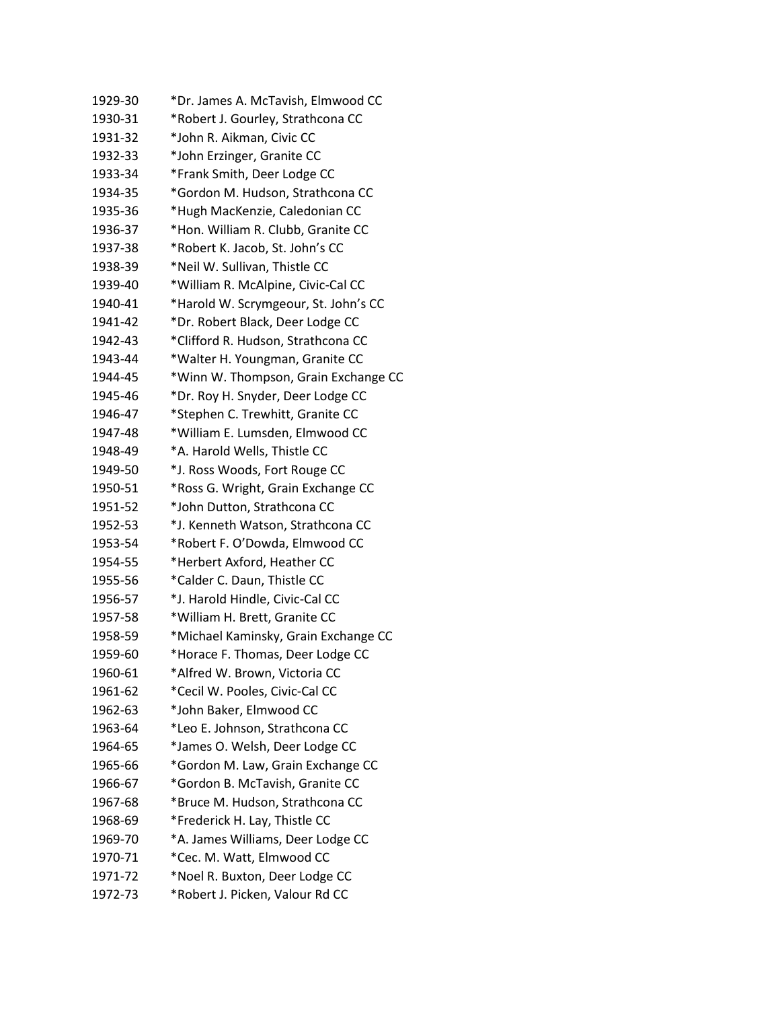| 1929-30 | *Dr. James A. McTavish, Elmwood CC   |
|---------|--------------------------------------|
| 1930-31 | *Robert J. Gourley, Strathcona CC    |
| 1931-32 | *John R. Aikman, Civic CC            |
| 1932-33 | *John Erzinger, Granite CC           |
| 1933-34 | *Frank Smith, Deer Lodge CC          |
| 1934-35 | *Gordon M. Hudson, Strathcona CC     |
| 1935-36 | *Hugh MacKenzie, Caledonian CC       |
| 1936-37 | *Hon. William R. Clubb, Granite CC   |
| 1937-38 | *Robert K. Jacob, St. John's CC      |
| 1938-39 | *Neil W. Sullivan, Thistle CC        |
| 1939-40 | *William R. McAlpine, Civic-Cal CC   |
| 1940-41 | *Harold W. Scrymgeour, St. John's CC |
| 1941-42 | *Dr. Robert Black, Deer Lodge CC     |
| 1942-43 | *Clifford R. Hudson, Strathcona CC   |
| 1943-44 | *Walter H. Youngman, Granite CC      |
| 1944-45 | *Winn W. Thompson, Grain Exchange CC |
| 1945-46 | *Dr. Roy H. Snyder, Deer Lodge CC    |
| 1946-47 | *Stephen C. Trewhitt, Granite CC     |
| 1947-48 | *William E. Lumsden, Elmwood CC      |
| 1948-49 | *A. Harold Wells, Thistle CC         |
| 1949-50 | *J. Ross Woods, Fort Rouge CC        |
| 1950-51 | *Ross G. Wright, Grain Exchange CC   |
| 1951-52 | *John Dutton, Strathcona CC          |
| 1952-53 | *J. Kenneth Watson, Strathcona CC    |
| 1953-54 | *Robert F. O'Dowda, Elmwood CC       |
| 1954-55 | *Herbert Axford, Heather CC          |
| 1955-56 | *Calder C. Daun, Thistle CC          |
| 1956-57 | *J. Harold Hindle, Civic-Cal CC      |
| 1957-58 | *William H. Brett, Granite CC        |
| 1958-59 | *Michael Kaminsky, Grain Exchange CC |
| 1959-60 | *Horace F. Thomas, Deer Lodge CC     |
| 1960-61 | *Alfred W. Brown, Victoria CC        |
| 1961-62 | *Cecil W. Pooles, Civic-Cal CC       |
| 1962-63 | *John Baker, Elmwood CC              |
| 1963-64 | *Leo E. Johnson, Strathcona CC       |
| 1964-65 | *James O. Welsh, Deer Lodge CC       |
| 1965-66 | *Gordon M. Law, Grain Exchange CC    |
| 1966-67 | *Gordon B. McTavish, Granite CC      |
| 1967-68 | *Bruce M. Hudson, Strathcona CC      |
| 1968-69 | *Frederick H. Lay, Thistle CC        |
| 1969-70 | *A. James Williams, Deer Lodge CC    |
| 1970-71 | *Cec. M. Watt, Elmwood CC            |
| 1971-72 | *Noel R. Buxton, Deer Lodge CC       |
| 1972-73 | *Robert J. Picken, Valour Rd CC      |